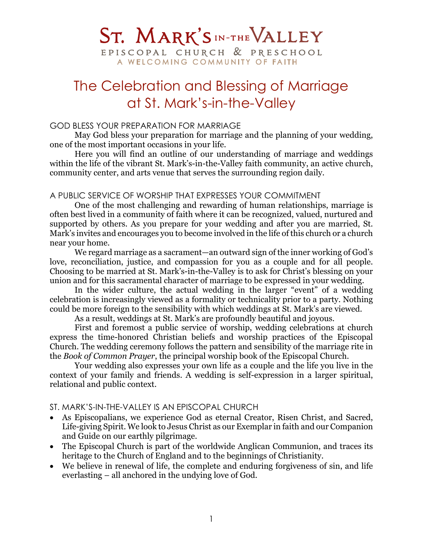# ST. MARK'S IN-THE VALLEY

EPISCOPAL CHURCH & PRESCHOOL A WELCOMING COMMUNITY OF FAITH

## The Celebration and Blessing of Marriage at St. Mark's-in-the-Valley

## GOD BLESS YOUR PREPARATION FOR MARRIAGE

May God bless your preparation for marriage and the planning of your wedding, one of the most important occasions in your life.

Here you will find an outline of our understanding of marriage and weddings within the life of the vibrant St. Mark's-in-the-Valley faith community, an active church, community center, and arts venue that serves the surrounding region daily.

## A PUBLIC SERVICE OF WORSHIP THAT EXPRESSES YOUR COMMITMENT

One of the most challenging and rewarding of human relationships, marriage is often best lived in a community of faith where it can be recognized, valued, nurtured and supported by others. As you prepare for your wedding and after you are married, St. Mark's invites and encourages you to become involved in the life of this church or a church near your home.

We regard marriage as a sacrament—an outward sign of the inner working of God's love, reconciliation, justice, and compassion for you as a couple and for all people. Choosing to be married at St. Mark's-in-the-Valley is to ask for Christ's blessing on your union and for this sacramental character of marriage to be expressed in your wedding.

In the wider culture, the actual wedding in the larger "event" of a wedding celebration is increasingly viewed as a formality or technicality prior to a party. Nothing could be more foreign to the sensibility with which weddings at St. Mark's are viewed.

As a result, weddings at St. Mark's are profoundly beautiful and joyous.

First and foremost a public service of worship, wedding celebrations at church express the time-honored Christian beliefs and worship practices of the Episcopal Church. The wedding ceremony follows the pattern and sensibility of the marriage rite in the *Book of Common Prayer*, the principal worship book of the Episcopal Church.

Your wedding also expresses your own life as a couple and the life you live in the context of your family and friends. A wedding is self-expression in a larger spiritual, relational and public context.

## ST. MARK'S-IN-THE-VALLEY IS AN EPISCOPAL CHURCH

- As Episcopalians, we experience God as eternal Creator, Risen Christ, and Sacred, Life-giving Spirit. We look to Jesus Christ as our Exemplar in faith and our Companion and Guide on our earthly pilgrimage.
- The Episcopal Church is part of the worldwide Anglican Communion, and traces its heritage to the Church of England and to the beginnings of Christianity.
- We believe in renewal of life, the complete and enduring forgiveness of sin, and life everlasting – all anchored in the undying love of God.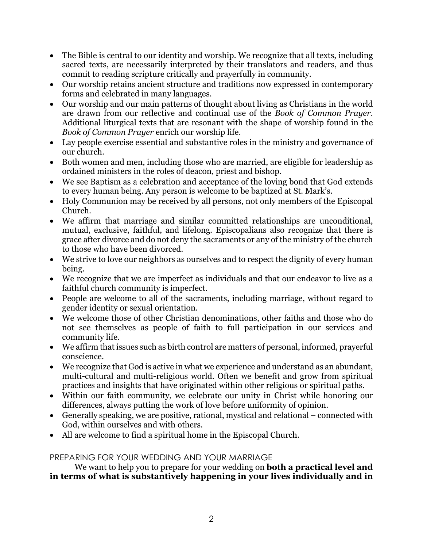- The Bible is central to our identity and worship. We recognize that all texts, including sacred texts, are necessarily interpreted by their translators and readers, and thus commit to reading scripture critically and prayerfully in community.
- Our worship retains ancient structure and traditions now expressed in contemporary forms and celebrated in many languages.
- Our worship and our main patterns of thought about living as Christians in the world are drawn from our reflective and continual use of the *Book of Common Prayer*. Additional liturgical texts that are resonant with the shape of worship found in the *Book of Common Prayer* enrich our worship life.
- Lay people exercise essential and substantive roles in the ministry and governance of our church.
- Both women and men, including those who are married, are eligible for leadership as ordained ministers in the roles of deacon, priest and bishop.
- We see Baptism as a celebration and acceptance of the loving bond that God extends to every human being. Any person is welcome to be baptized at St. Mark's.
- Holy Communion may be received by all persons, not only members of the Episcopal Church.
- We affirm that marriage and similar committed relationships are unconditional, mutual, exclusive, faithful, and lifelong. Episcopalians also recognize that there is grace after divorce and do not deny the sacraments or any of the ministry of the church to those who have been divorced.
- We strive to love our neighbors as ourselves and to respect the dignity of every human being.
- We recognize that we are imperfect as individuals and that our endeavor to live as a faithful church community is imperfect.
- People are welcome to all of the sacraments, including marriage, without regard to gender identity or sexual orientation.
- We welcome those of other Christian denominations, other faiths and those who do not see themselves as people of faith to full participation in our services and community life.
- We affirm that issues such as birth control are matters of personal, informed, prayerful conscience.
- We recognize that God is active in what we experience and understand as an abundant, multi-cultural and multi-religious world. Often we benefit and grow from spiritual practices and insights that have originated within other religious or spiritual paths.
- Within our faith community, we celebrate our unity in Christ while honoring our differences, always putting the work of love before uniformity of opinion.
- Generally speaking, we are positive, rational, mystical and relational connected with God, within ourselves and with others.
- All are welcome to find a spiritual home in the Episcopal Church.

## PREPARING FOR YOUR WEDDING AND YOUR MARRIAGE

We want to help you to prepare for your wedding on **both a practical level and in terms of what is substantively happening in your lives individually and in**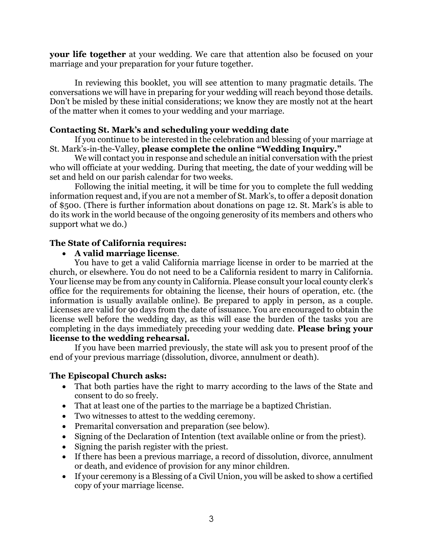**your life together** at your wedding. We care that attention also be focused on your marriage and your preparation for your future together.

In reviewing this booklet, you will see attention to many pragmatic details. The conversations we will have in preparing for your wedding will reach beyond those details. Don't be misled by these initial considerations; we know they are mostly not at the heart of the matter when it comes to your wedding and your marriage.

## **Contacting St. Mark's and scheduling your wedding date**

If you continue to be interested in the celebration and blessing of your marriage at St. Mark's-in-the-Valley, **please complete the online "Wedding Inquiry."**

We will contact you in response and schedule an initial conversation with the priest who will officiate at your wedding. During that meeting, the date of your wedding will be set and held on our parish calendar for two weeks.

Following the initial meeting, it will be time for you to complete the full wedding information request and, if you are not a member of St. Mark's, to offer a deposit donation of \$500. (There is further information about donations on page 12. St. Mark's is able to do its work in the world because of the ongoing generosity of its members and others who support what we do.)

## **The State of California requires:**

## • **A valid marriage license**.

You have to get a valid California marriage license in order to be married at the church, or elsewhere. You do not need to be a California resident to marry in California. Your license may be from any county in California. Please consult your local county clerk's office for the requirements for obtaining the license, their hours of operation, etc. (the information is usually available online). Be prepared to apply in person, as a couple. Licenses are valid for 90 days from the date of issuance. You are encouraged to obtain the license well before the wedding day, as this will ease the burden of the tasks you are completing in the days immediately preceding your wedding date. **Please bring your license to the wedding rehearsal.**

If you have been married previously, the state will ask you to present proof of the end of your previous marriage (dissolution, divorce, annulment or death).

## **The Episcopal Church asks:**

- That both parties have the right to marry according to the laws of the State and consent to do so freely.
- That at least one of the parties to the marriage be a baptized Christian.
- Two witnesses to attest to the wedding ceremony.
- Premarital conversation and preparation (see below).
- Signing of the Declaration of Intention (text available online or from the priest).
- Signing the parish register with the priest.
- If there has been a previous marriage, a record of dissolution, divorce, annulment or death, and evidence of provision for any minor children.
- If your ceremony is a Blessing of a Civil Union, you will be asked to show a certified copy of your marriage license.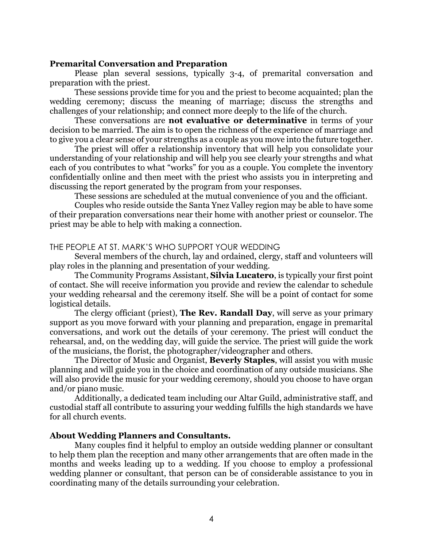#### **Premarital Conversation and Preparation**

Please plan several sessions, typically 3-4, of premarital conversation and preparation with the priest.

These sessions provide time for you and the priest to become acquainted; plan the wedding ceremony; discuss the meaning of marriage; discuss the strengths and challenges of your relationship; and connect more deeply to the life of the church.

These conversations are **not evaluative or determinative** in terms of your decision to be married. The aim is to open the richness of the experience of marriage and to give you a clear sense of your strengths as a couple as you move into the future together.

The priest will offer a relationship inventory that will help you consolidate your understanding of your relationship and will help you see clearly your strengths and what each of you contributes to what "works" for you as a couple. You complete the inventory confidentially online and then meet with the priest who assists you in interpreting and discussing the report generated by the program from your responses.

These sessions are scheduled at the mutual convenience of you and the officiant.

Couples who reside outside the Santa Ynez Valley region may be able to have some of their preparation conversations near their home with another priest or counselor. The priest may be able to help with making a connection.

#### THE PEOPLE AT ST. MARK'S WHO SUPPORT YOUR WEDDING

Several members of the church, lay and ordained, clergy, staff and volunteers will play roles in the planning and presentation of your wedding.

The Community Programs Assistant, **Silvia Lucatero**, is typically your first point of contact. She will receive information you provide and review the calendar to schedule your wedding rehearsal and the ceremony itself. She will be a point of contact for some logistical details.

The clergy officiant (priest), **The Rev. Randall Day**, will serve as your primary support as you move forward with your planning and preparation, engage in premarital conversations, and work out the details of your ceremony. The priest will conduct the rehearsal, and, on the wedding day, will guide the service. The priest will guide the work of the musicians, the florist, the photographer/videographer and others.

The Director of Music and Organist, **Beverly Staples**, will assist you with music planning and will guide you in the choice and coordination of any outside musicians. She will also provide the music for your wedding ceremony, should you choose to have organ and/or piano music.

Additionally, a dedicated team including our Altar Guild, administrative staff, and custodial staff all contribute to assuring your wedding fulfills the high standards we have for all church events.

#### **About Wedding Planners and Consultants.**

Many couples find it helpful to employ an outside wedding planner or consultant to help them plan the reception and many other arrangements that are often made in the months and weeks leading up to a wedding. If you choose to employ a professional wedding planner or consultant, that person can be of considerable assistance to you in coordinating many of the details surrounding your celebration.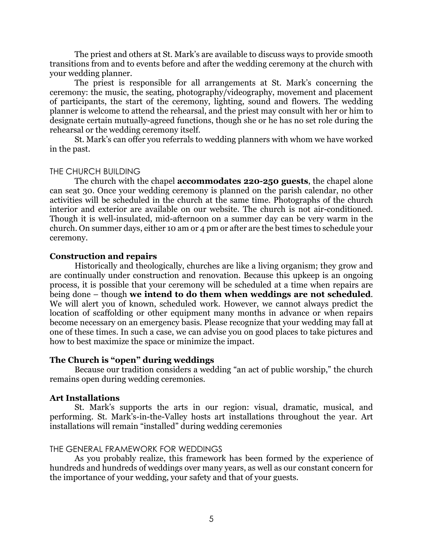The priest and others at St. Mark's are available to discuss ways to provide smooth transitions from and to events before and after the wedding ceremony at the church with your wedding planner.

The priest is responsible for all arrangements at St. Mark's concerning the ceremony: the music, the seating, photography/videography, movement and placement of participants, the start of the ceremony, lighting, sound and flowers. The wedding planner is welcome to attend the rehearsal, and the priest may consult with her or him to designate certain mutually-agreed functions, though she or he has no set role during the rehearsal or the wedding ceremony itself.

St. Mark's can offer you referrals to wedding planners with whom we have worked in the past.

## THE CHURCH BUILDING

The church with the chapel **accommodates 220-250 guests**, the chapel alone can seat 30. Once your wedding ceremony is planned on the parish calendar, no other activities will be scheduled in the church at the same time. Photographs of the church interior and exterior are available on our website. The church is not air-conditioned. Though it is well-insulated, mid-afternoon on a summer day can be very warm in the church. On summer days, either 10 am or 4 pm or after are the best times to schedule your ceremony.

## **Construction and repairs**

Historically and theologically, churches are like a living organism; they grow and are continually under construction and renovation. Because this upkeep is an ongoing process, it is possible that your ceremony will be scheduled at a time when repairs are being done – though **we intend to do them when weddings are not scheduled**. We will alert you of known, scheduled work. However, we cannot always predict the location of scaffolding or other equipment many months in advance or when repairs become necessary on an emergency basis. Please recognize that your wedding may fall at one of these times. In such a case, we can advise you on good places to take pictures and how to best maximize the space or minimize the impact.

#### **The Church is "open" during weddings**

Because our tradition considers a wedding "an act of public worship," the church remains open during wedding ceremonies.

#### **Art Installations**

St. Mark's supports the arts in our region: visual, dramatic, musical, and performing. St. Mark's-in-the-Valley hosts art installations throughout the year. Art installations will remain "installed" during wedding ceremonies

#### THE GENERAL FRAMEWORK FOR WEDDINGS

As you probably realize, this framework has been formed by the experience of hundreds and hundreds of weddings over many years, as well as our constant concern for the importance of your wedding, your safety and that of your guests.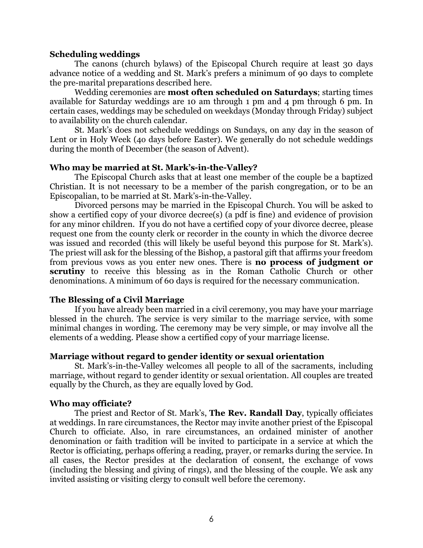#### **Scheduling weddings**

The canons (church bylaws) of the Episcopal Church require at least 30 days advance notice of a wedding and St. Mark's prefers a minimum of 90 days to complete the pre-marital preparations described here.

Wedding ceremonies are **most often scheduled on Saturdays**; starting times available for Saturday weddings are 10 am through 1 pm and 4 pm through 6 pm. In certain cases, weddings may be scheduled on weekdays (Monday through Friday) subject to availability on the church calendar.

St. Mark's does not schedule weddings on Sundays, on any day in the season of Lent or in Holy Week (4o days before Easter). We generally do not schedule weddings during the month of December (the season of Advent).

#### **Who may be married at St. Mark's-in-the-Valley?**

The Episcopal Church asks that at least one member of the couple be a baptized Christian. It is not necessary to be a member of the parish congregation, or to be an Episcopalian, to be married at St. Mark's-in-the-Valley.

Divorced persons may be married in the Episcopal Church. You will be asked to show a certified copy of your divorce decree(s) (a pdf is fine) and evidence of provision for any minor children. If you do not have a certified copy of your divorce decree, please request one from the county clerk or recorder in the county in which the divorce decree was issued and recorded (this will likely be useful beyond this purpose for St. Mark's). The priest will ask for the blessing of the Bishop, a pastoral gift that affirms your freedom from previous vows as you enter new ones. There is **no process of judgment or scrutiny** to receive this blessing as in the Roman Catholic Church or other denominations. A minimum of 60 days is required for the necessary communication.

## **The Blessing of a Civil Marriage**

If you have already been married in a civil ceremony, you may have your marriage blessed in the church. The service is very similar to the marriage service, with some minimal changes in wording. The ceremony may be very simple, or may involve all the elements of a wedding. Please show a certified copy of your marriage license.

## **Marriage without regard to gender identity or sexual orientation**

St. Mark's-in-the-Valley welcomes all people to all of the sacraments, including marriage, without regard to gender identity or sexual orientation. All couples are treated equally by the Church, as they are equally loved by God.

#### **Who may officiate?**

The priest and Rector of St. Mark's, **The Rev. Randall Day**, typically officiates at weddings. In rare circumstances, the Rector may invite another priest of the Episcopal Church to officiate. Also, in rare circumstances, an ordained minister of another denomination or faith tradition will be invited to participate in a service at which the Rector is officiating, perhaps offering a reading, prayer, or remarks during the service. In all cases, the Rector presides at the declaration of consent, the exchange of vows (including the blessing and giving of rings), and the blessing of the couple. We ask any invited assisting or visiting clergy to consult well before the ceremony.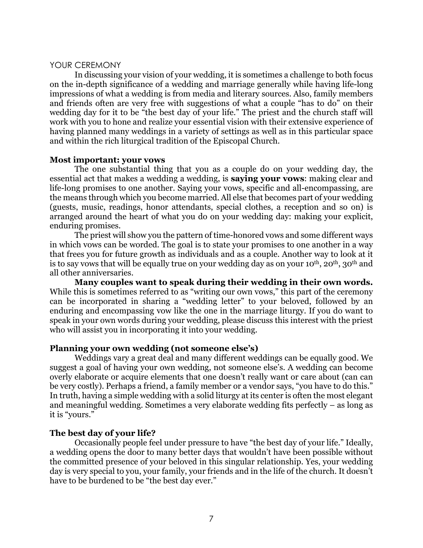#### YOUR CEREMONY

In discussing your vision of your wedding, it is sometimes a challenge to both focus on the in-depth significance of a wedding and marriage generally while having life-long impressions of what a wedding is from media and literary sources. Also, family members and friends often are very free with suggestions of what a couple "has to do" on their wedding day for it to be "the best day of your life." The priest and the church staff will work with you to hone and realize your essential vision with their extensive experience of having planned many weddings in a variety of settings as well as in this particular space and within the rich liturgical tradition of the Episcopal Church.

#### **Most important: your vows**

The one substantial thing that you as a couple do on your wedding day, the essential act that makes a wedding a wedding, is **saying your vows**: making clear and life-long promises to one another. Saying your vows, specific and all-encompassing, are the means through which you become married. All else that becomes part of your wedding (guests, music, readings, honor attendants, special clothes, a reception and so on) is arranged around the heart of what you do on your wedding day: making your explicit, enduring promises.

The priest will show you the pattern of time-honored vows and some different ways in which vows can be worded. The goal is to state your promises to one another in a way that frees you for future growth as individuals and as a couple. Another way to look at it is to say vows that will be equally true on your wedding day as on your  $10^{th}$ ,  $20^{th}$ ,  $30^{th}$  and all other anniversaries.

**Many couples want to speak during their wedding in their own words.** While this is sometimes referred to as "writing our own vows," this part of the ceremony can be incorporated in sharing a "wedding letter" to your beloved, followed by an enduring and encompassing vow like the one in the marriage liturgy. If you do want to speak in your own words during your wedding, please discuss this interest with the priest who will assist you in incorporating it into your wedding.

## **Planning your own wedding (not someone else's)**

Weddings vary a great deal and many different weddings can be equally good. We suggest a goal of having your own wedding, not someone else's. A wedding can become overly elaborate or acquire elements that one doesn't really want or care about (can can be very costly). Perhaps a friend, a family member or a vendor says, "you have to do this." In truth, having a simple wedding with a solid liturgy at its center is often the most elegant and meaningful wedding. Sometimes a very elaborate wedding fits perfectly – as long as it is "yours."

## **The best day of your life?**

Occasionally people feel under pressure to have "the best day of your life." Ideally, a wedding opens the door to many better days that wouldn't have been possible without the committed presence of your beloved in this singular relationship. Yes, your wedding day is very special to you, your family, your friends and in the life of the church. It doesn't have to be burdened to be "the best day ever."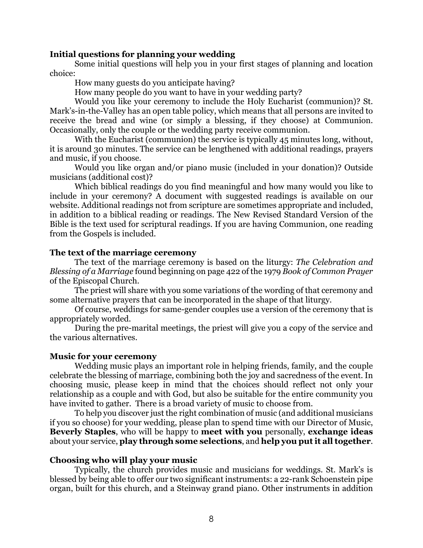## **Initial questions for planning your wedding**

Some initial questions will help you in your first stages of planning and location choice:

How many guests do you anticipate having?

How many people do you want to have in your wedding party?

Would you like your ceremony to include the Holy Eucharist (communion)? St. Mark's-in-the-Valley has an open table policy, which means that all persons are invited to receive the bread and wine (or simply a blessing, if they choose) at Communion. Occasionally, only the couple or the wedding party receive communion.

With the Eucharist (communion) the service is typically 45 minutes long, without, it is around 30 minutes. The service can be lengthened with additional readings, prayers and music, if you choose.

Would you like organ and/or piano music (included in your donation)? Outside musicians (additional cost)?

Which biblical readings do you find meaningful and how many would you like to include in your ceremony? A document with suggested readings is available on our website. Additional readings not from scripture are sometimes appropriate and included, in addition to a biblical reading or readings. The New Revised Standard Version of the Bible is the text used for scriptural readings. If you are having Communion, one reading from the Gospels is included.

#### **The text of the marriage ceremony**

The text of the marriage ceremony is based on the liturgy: *The Celebration and Blessing of a Marriage* found beginning on page 422 of the 1979 *Book of Common Prayer* of the Episcopal Church.

The priest will share with you some variations of the wording of that ceremony and some alternative prayers that can be incorporated in the shape of that liturgy.

Of course, weddings for same-gender couples use a version of the ceremony that is appropriately worded.

During the pre-marital meetings, the priest will give you a copy of the service and the various alternatives.

#### **Music for your ceremony**

Wedding music plays an important role in helping friends, family, and the couple celebrate the blessing of marriage, combining both the joy and sacredness of the event. In choosing music, please keep in mind that the choices should reflect not only your relationship as a couple and with God, but also be suitable for the entire community you have invited to gather. There is a broad variety of music to choose from.

To help you discover just the right combination of music (and additional musicians if you so choose) for your wedding, please plan to spend time with our Director of Music, **Beverly Staples**, who will be happy to **meet with you** personally, **exchange ideas** about your service, **play through some selections**, and **help you put it all together**.

#### **Choosing who will play your music**

Typically, the church provides music and musicians for weddings. St. Mark's is blessed by being able to offer our two significant instruments: a 22-rank Schoenstein pipe organ, built for this church, and a Steinway grand piano. Other instruments in addition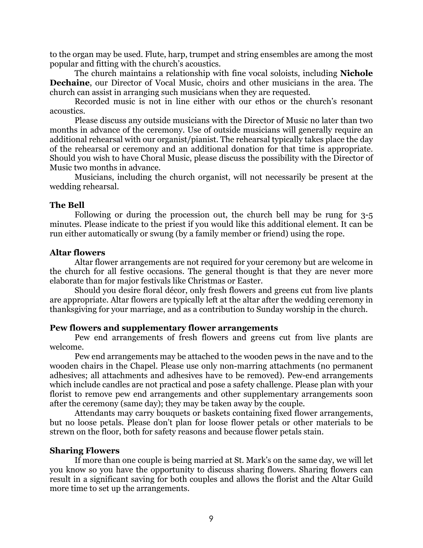to the organ may be used. Flute, harp, trumpet and string ensembles are among the most popular and fitting with the church's acoustics.

The church maintains a relationship with fine vocal soloists, including **Nichole Dechaine**, our Director of Vocal Music, choirs and other musicians in the area. The church can assist in arranging such musicians when they are requested.

Recorded music is not in line either with our ethos or the church's resonant acoustics.

Please discuss any outside musicians with the Director of Music no later than two months in advance of the ceremony. Use of outside musicians will generally require an additional rehearsal with our organist/pianist. The rehearsal typically takes place the day of the rehearsal or ceremony and an additional donation for that time is appropriate. Should you wish to have Choral Music, please discuss the possibility with the Director of Music two months in advance.

Musicians, including the church organist, will not necessarily be present at the wedding rehearsal.

## **The Bell**

Following or during the procession out, the church bell may be rung for 3-5 minutes. Please indicate to the priest if you would like this additional element. It can be run either automatically or swung (by a family member or friend) using the rope.

#### **Altar flowers**

Altar flower arrangements are not required for your ceremony but are welcome in the church for all festive occasions. The general thought is that they are never more elaborate than for major festivals like Christmas or Easter.

Should you desire floral décor, only fresh flowers and greens cut from live plants are appropriate. Altar flowers are typically left at the altar after the wedding ceremony in thanksgiving for your marriage, and as a contribution to Sunday worship in the church.

#### **Pew flowers and supplementary flower arrangements**

Pew end arrangements of fresh flowers and greens cut from live plants are welcome.

Pew end arrangements may be attached to the wooden pews in the nave and to the wooden chairs in the Chapel. Please use only non-marring attachments (no permanent adhesives; all attachments and adhesives have to be removed). Pew-end arrangements which include candles are not practical and pose a safety challenge. Please plan with your florist to remove pew end arrangements and other supplementary arrangements soon after the ceremony (same day); they may be taken away by the couple.

Attendants may carry bouquets or baskets containing fixed flower arrangements, but no loose petals. Please don't plan for loose flower petals or other materials to be strewn on the floor, both for safety reasons and because flower petals stain.

## **Sharing Flowers**

If more than one couple is being married at St. Mark's on the same day, we will let you know so you have the opportunity to discuss sharing flowers. Sharing flowers can result in a significant saving for both couples and allows the florist and the Altar Guild more time to set up the arrangements.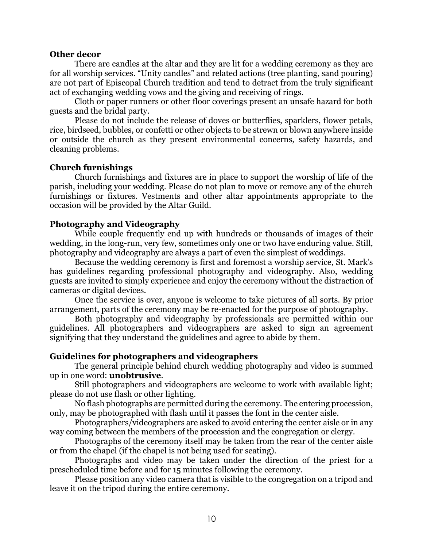#### **Other decor**

There are candles at the altar and they are lit for a wedding ceremony as they are for all worship services. "Unity candles" and related actions (tree planting, sand pouring) are not part of Episcopal Church tradition and tend to detract from the truly significant act of exchanging wedding vows and the giving and receiving of rings.

Cloth or paper runners or other floor coverings present an unsafe hazard for both guests and the bridal party.

Please do not include the release of doves or butterflies, sparklers, flower petals, rice, birdseed, bubbles, or confetti or other objects to be strewn or blown anywhere inside or outside the church as they present environmental concerns, safety hazards, and cleaning problems.

## **Church furnishings**

Church furnishings and fixtures are in place to support the worship of life of the parish, including your wedding. Please do not plan to move or remove any of the church furnishings or fixtures. Vestments and other altar appointments appropriate to the occasion will be provided by the Altar Guild.

## **Photography and Videography**

While couple frequently end up with hundreds or thousands of images of their wedding, in the long-run, very few, sometimes only one or two have enduring value. Still, photography and videography are always a part of even the simplest of weddings.

Because the wedding ceremony is first and foremost a worship service, St. Mark's has guidelines regarding professional photography and videography. Also, wedding guests are invited to simply experience and enjoy the ceremony without the distraction of cameras or digital devices.

Once the service is over, anyone is welcome to take pictures of all sorts. By prior arrangement, parts of the ceremony may be re-enacted for the purpose of photography.

Both photography and videography by professionals are permitted within our guidelines. All photographers and videographers are asked to sign an agreement signifying that they understand the guidelines and agree to abide by them.

## **Guidelines for photographers and videographers**

The general principle behind church wedding photography and video is summed up in one word: **unobtrusive**.

Still photographers and videographers are welcome to work with available light; please do not use flash or other lighting.

No flash photographs are permitted during the ceremony. The entering procession, only, may be photographed with flash until it passes the font in the center aisle.

Photographers/videographers are asked to avoid entering the center aisle or in any way coming between the members of the procession and the congregation or clergy.

Photographs of the ceremony itself may be taken from the rear of the center aisle or from the chapel (if the chapel is not being used for seating).

Photographs and video may be taken under the direction of the priest for a prescheduled time before and for 15 minutes following the ceremony.

Please position any video camera that is visible to the congregation on a tripod and leave it on the tripod during the entire ceremony.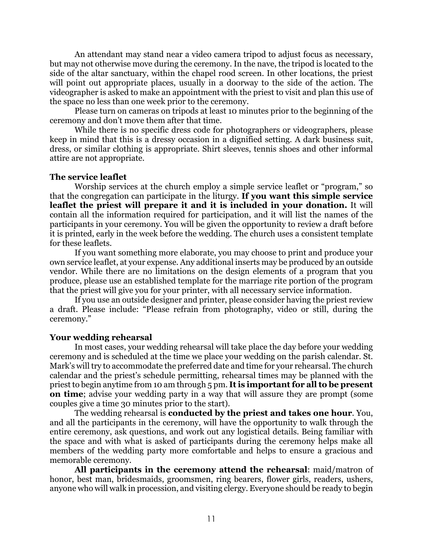An attendant may stand near a video camera tripod to adjust focus as necessary, but may not otherwise move during the ceremony. In the nave, the tripod is located to the side of the altar sanctuary, within the chapel rood screen. In other locations, the priest will point out appropriate places, usually in a doorway to the side of the action. The videographer is asked to make an appointment with the priest to visit and plan this use of the space no less than one week prior to the ceremony.

Please turn on cameras on tripods at least 10 minutes prior to the beginning of the ceremony and don't move them after that time.

While there is no specific dress code for photographers or videographers, please keep in mind that this is a dressy occasion in a dignified setting. A dark business suit, dress, or similar clothing is appropriate. Shirt sleeves, tennis shoes and other informal attire are not appropriate.

## **The service leaflet**

Worship services at the church employ a simple service leaflet or "program," so that the congregation can participate in the liturgy. **If you want this simple service leaflet the priest will prepare it and it is included in your donation.** It will contain all the information required for participation, and it will list the names of the participants in your ceremony. You will be given the opportunity to review a draft before it is printed, early in the week before the wedding. The church uses a consistent template for these leaflets.

If you want something more elaborate, you may choose to print and produce your own service leaflet, at your expense. Any additional inserts may be produced by an outside vendor. While there are no limitations on the design elements of a program that you produce, please use an established template for the marriage rite portion of the program that the priest will give you for your printer, with all necessary service information.

If you use an outside designer and printer, please consider having the priest review a draft. Please include: "Please refrain from photography, video or still, during the ceremony."

## **Your wedding rehearsal**

In most cases, your wedding rehearsal will take place the day before your wedding ceremony and is scheduled at the time we place your wedding on the parish calendar. St. Mark's will try to accommodate the preferred date and time for your rehearsal. The church calendar and the priest's schedule permitting, rehearsal times may be planned with the priest to begin anytime from 10 am through 5 pm. **It is important for all to be present on time**; advise your wedding party in a way that will assure they are prompt (some couples give a time 30 minutes prior to the start).

The wedding rehearsal is **conducted by the priest and takes one hour**. You, and all the participants in the ceremony, will have the opportunity to walk through the entire ceremony, ask questions, and work out any logistical details. Being familiar with the space and with what is asked of participants during the ceremony helps make all members of the wedding party more comfortable and helps to ensure a gracious and memorable ceremony.

**All participants in the ceremony attend the rehearsal**: maid/matron of honor, best man, bridesmaids, groomsmen, ring bearers, flower girls, readers, ushers, anyone who will walk in procession, and visiting clergy. Everyone should be ready to begin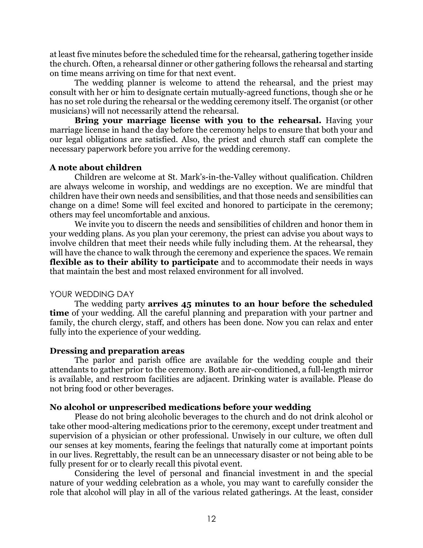at least five minutes before the scheduled time for the rehearsal, gathering together inside the church. Often, a rehearsal dinner or other gathering follows the rehearsal and starting on time means arriving on time for that next event.

The wedding planner is welcome to attend the rehearsal, and the priest may consult with her or him to designate certain mutually-agreed functions, though she or he has no set role during the rehearsal or the wedding ceremony itself. The organist (or other musicians) will not necessarily attend the rehearsal.

**Bring your marriage license with you to the rehearsal.** Having your marriage license in hand the day before the ceremony helps to ensure that both your and our legal obligations are satisfied. Also, the priest and church staff can complete the necessary paperwork before you arrive for the wedding ceremony.

## **A note about children**

Children are welcome at St. Mark's-in-the-Valley without qualification. Children are always welcome in worship, and weddings are no exception. We are mindful that children have their own needs and sensibilities, and that those needs and sensibilities can change on a dime! Some will feel excited and honored to participate in the ceremony; others may feel uncomfortable and anxious.

We invite you to discern the needs and sensibilities of children and honor them in your wedding plans. As you plan your ceremony, the priest can advise you about ways to involve children that meet their needs while fully including them. At the rehearsal, they will have the chance to walk through the ceremony and experience the spaces. We remain **flexible as to their ability to participate** and to accommodate their needs in ways that maintain the best and most relaxed environment for all involved.

## YOUR WEDDING DAY

The wedding party **arrives 45 minutes to an hour before the scheduled time** of your wedding. All the careful planning and preparation with your partner and family, the church clergy, staff, and others has been done. Now you can relax and enter fully into the experience of your wedding.

## **Dressing and preparation areas**

The parlor and parish office are available for the wedding couple and their attendants to gather prior to the ceremony. Both are air-conditioned, a full-length mirror is available, and restroom facilities are adjacent. Drinking water is available. Please do not bring food or other beverages.

## **No alcohol or unprescribed medications before your wedding**

Please do not bring alcoholic beverages to the church and do not drink alcohol or take other mood-altering medications prior to the ceremony, except under treatment and supervision of a physician or other professional. Unwisely in our culture, we often dull our senses at key moments, fearing the feelings that naturally come at important points in our lives. Regrettably, the result can be an unnecessary disaster or not being able to be fully present for or to clearly recall this pivotal event.

Considering the level of personal and financial investment in and the special nature of your wedding celebration as a whole, you may want to carefully consider the role that alcohol will play in all of the various related gatherings. At the least, consider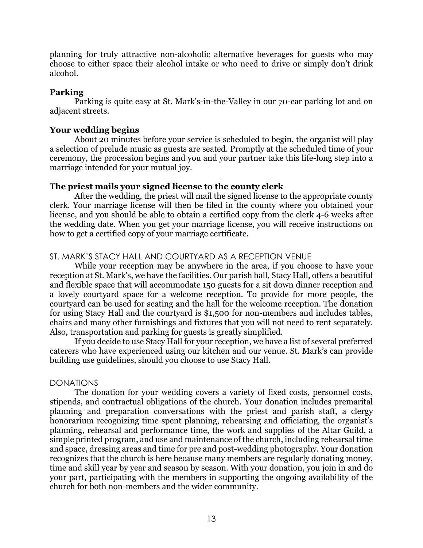planning for truly attractive non-alcoholic alternative beverages for guests who may choose to either space their alcohol intake or who need to drive or simply don't drink alcohol.

## **Parking**

Parking is quite easy at St. Mark's-in-the-Valley in our 70-car parking lot and on adjacent streets.

## **Your wedding begins**

About 20 minutes before your service is scheduled to begin, the organist will play a selection of prelude music as guests are seated. Promptly at the scheduled time of your ceremony, the procession begins and you and your partner take this life-long step into a marriage intended for your mutual joy.

## **The priest mails your signed license to the county clerk**

After the wedding, the priest will mail the signed license to the appropriate county clerk. Your marriage license will then be filed in the county where you obtained your license, and you should be able to obtain a certified copy from the clerk 4-6 weeks after the wedding date. When you get your marriage license, you will receive instructions on how to get a certified copy of your marriage certificate.

## ST. MARK'S STACY HALL AND COURTYARD AS A RECEPTION VENUE

While your reception may be anywhere in the area, if you choose to have your reception at St. Mark's, we have the facilities. Our parish hall, Stacy Hall, offers a beautiful and flexible space that will accommodate 150 guests for a sit down dinner reception and a lovely courtyard space for a welcome reception. To provide for more people, the courtyard can be used for seating and the hall for the welcome reception. The donation for using Stacy Hall and the courtyard is \$1,500 for non-members and includes tables, chairs and many other furnishings and fixtures that you will not need to rent separately. Also, transportation and parking for guests is greatly simplified.

If you decide to use Stacy Hall for your reception, we have a list of several preferred caterers who have experienced using our kitchen and our venue. St. Mark's can provide building use guidelines, should you choose to use Stacy Hall.

## DONATIONS

The donation for your wedding covers a variety of fixed costs, personnel costs, stipends, and contractual obligations of the church. Your donation includes premarital planning and preparation conversations with the priest and parish staff, a clergy honorarium recognizing time spent planning, rehearsing and officiating, the organist's planning, rehearsal and performance time, the work and supplies of the Altar Guild, a simple printed program, and use and maintenance of the church, including rehearsal time and space, dressing areas and time for pre and post-wedding photography. Your donation recognizes that the church is here because many members are regularly donating money, time and skill year by year and season by season. With your donation, you join in and do your part, participating with the members in supporting the ongoing availability of the church for both non-members and the wider community.